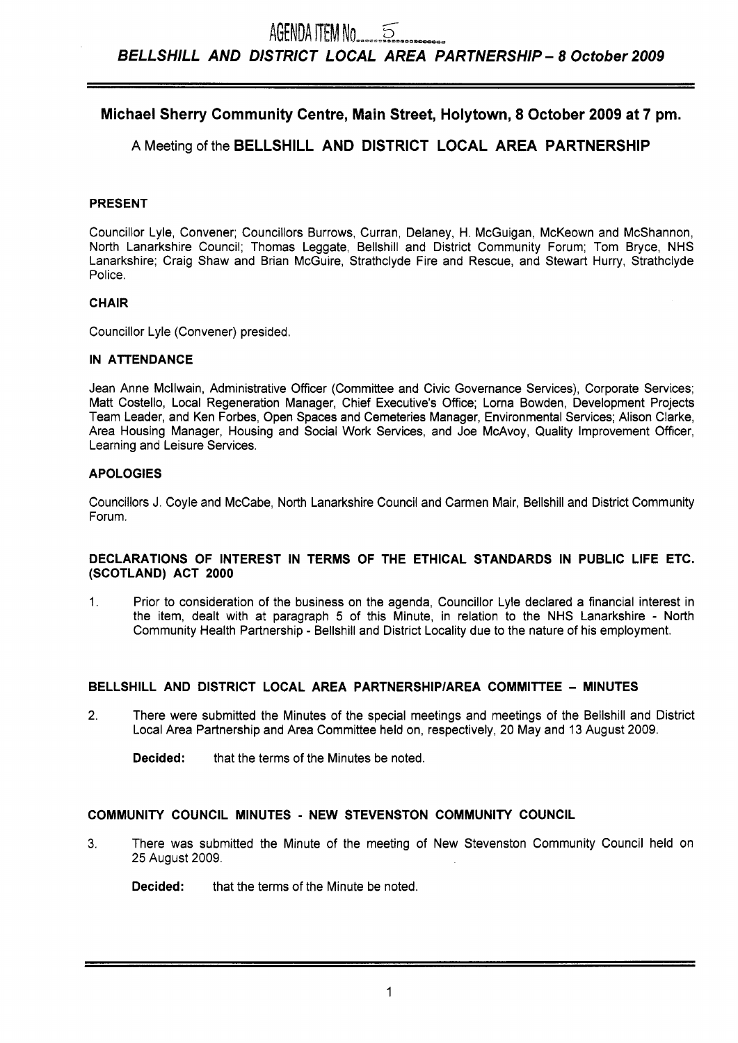# **Michael Sherry Community Centre, Main Street, Holytown, 8 October 2009 at 7 pm.**

# **A** Meeting of the **BELLSHILL AND DISTRICT LOCAL AREA PARTNERSHIP**

### **PRESENT**

Councillor Lyle, Convener; Councillors Burrows, Curran, Delaney, H. McGuigan, McKeown and McShannon, North Lanarkshire Council; Thomas Leggate, Bellshill and District Community Forum; Tom Bryce, NHS Lanarkshire; Craig Shaw and Brian McGuire, Strathclyde Fire and Rescue, and Stewart Hurry, Strathclyde Police.

# **CHAIR**

Councillor Lyle (Convener) presided.

### **IN ATTENDANCE**

Jean Anne Mcllwain, Administrative Officer (Committee and Civic Governance Services), Corporate Services; Matt Costello, Local Regeneration Manager, Chief Executive's Office; Lorna Bowden, Development Projects Team Leader, and Ken Forbes, Open Spaces and Cemeteries Manager, Environmental Services; Alison Clarke, Area Housing Manager, Housing and Social Work Services, and Joe McAvoy, Quality Improvement Officer, Learning and Leisure Services.

### **APOLOGIES**

Councillors J. Coyle and McCabe, North Lanarkshire Council and Carmen Mair, Bellshill and District Community Forum.

#### **DECLARATIONS OF INTEREST IN TERMS OF THE ETHICAL STANDARDS IN PUBLIC LIFE ETC. (SCOTLAND) ACT 2000**

1. Prior to consideration of the business on the agenda, Councillor Lyle declared a financial interest in the item, dealt with at paragraph 5 of this Minute, in relation to the NHS Lanarkshire - North Community Health Partnership - Bellshill and District Locality due to the nature of his employment.

### **BELLSHILL AND DISTRICT LOCAL AREA PARTNERSHIPIAREA COMMITTEE** - **MINUTES**

2. There were submitted the Minutes of the special meetings and meetings of the Bellshill and District Local Area Partnership and Area Committee held on, respectively, 20 May and 13 August 2009.

**Decided:** that the terms of the Minutes be noted.

### **COMMUNITY COUNCIL MINUTES** - **NEW STEVENSTON COMMUNITY COUNCIL**

**3.** There was submitted the Minute of the meeting of New Stevenston Community Council held on 25 August 2009.

**Decided:** that the terms of the Minute be noted.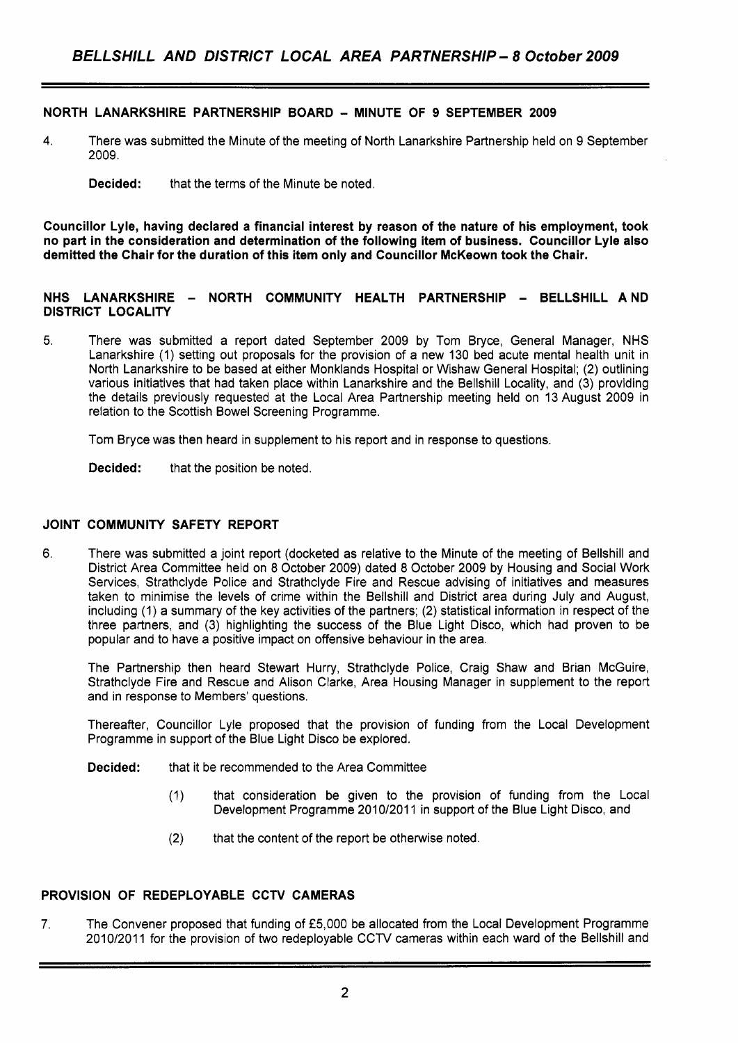### **NORTH LANARKSHIRE PARTNERSHIP BOARD** - **MINUTE OF 9 SEPTEMBER 2009**

**4.** There was submitted the Minute of the meeting of North Lanarkshire Partnership held on 9 September 2009.

**Councillor Lyle, having declared a financial interest by reason of the nature of his employment, took no part in the consideration and determination of the following item of business. Councillor Lyle also demitted the Chair for the duration of this item only and Councillor McKeown took the Chair.** 

### **NHS LANARKSHIRE** - **NORTH COMMUNITY HEALTH PARTNERSHIP** - **BELLSHILL AND DISTRICT LOCALITY**

5. There was submitted a report dated September 2009 by Tom Bryce, General Manager, NHS Lanarkshire (1) setting out proposals for the provision of a new 130 bed acute mental health unit in North Lanarkshire to be based at either Monklands Hospital or Wishaw General Hospital; (2) outlining various initiatives that had taken place within Lanarkshire and the Bellshill Locality, and (3) providing the details previously requested at the Local Area Partnership meeting held on 13 August 2009 in relation to the Scottish Bowel Screening Programme.

Tom Bryce was then heard in supplement to his report and in response to questions.

**Decided:** that the position be noted.

### **JOINT COMMUNITY SAFETY REPORT**

**6.**  There was submitted a joint report (docketed as relative to the Minute of the meeting of Bellshill and District Area Committee held on 8 October 2009) dated 8 October 2009 by Housing and Social Work Services, Strathclyde Police and Strathclyde Fire and Rescue advising of initiatives and measures taken to minimise the levels of crime within the Bellshill and District area during July and August, including (1) a summary of the key activities of the partners; (2) statistical information in respect of the three partners, and (3) highlighting the success of the Blue Light Disco, which had proven to be popular and to have a positive impact on offensive behaviour in the area.

The Partnership then heard Stewart Hurry, Strathclyde Police, Craig Shaw and Brian McGuire, Strathclyde Fire and Rescue and Alison Clarke, Area Housing Manager in supplement to the report and in response to Members' questions.

Thereafter, Councillor Lyle proposed that the provision of funding from the Local Development Programme in support of the Blue Light Disco be explored.

**Decided:** that it be recommended *to* the Area Committee

- (1) that consideration be given to the provision of funding from the Local Development Programme 2010/2011 in support of the Blue Light Disco, and
- (2) that the content of the report be otherwise noted.

### **PROVISION OF REDEPLOYABLE CCTV CAMERAS**

**7.** The Convener proposed that funding of *f5,000* be allocated from the Local Development Programme 2010/2011 for the provision of two redeployable CCTV cameras within each ward of the Bellshill and

**Decided:** that the terms of the Minute be noted.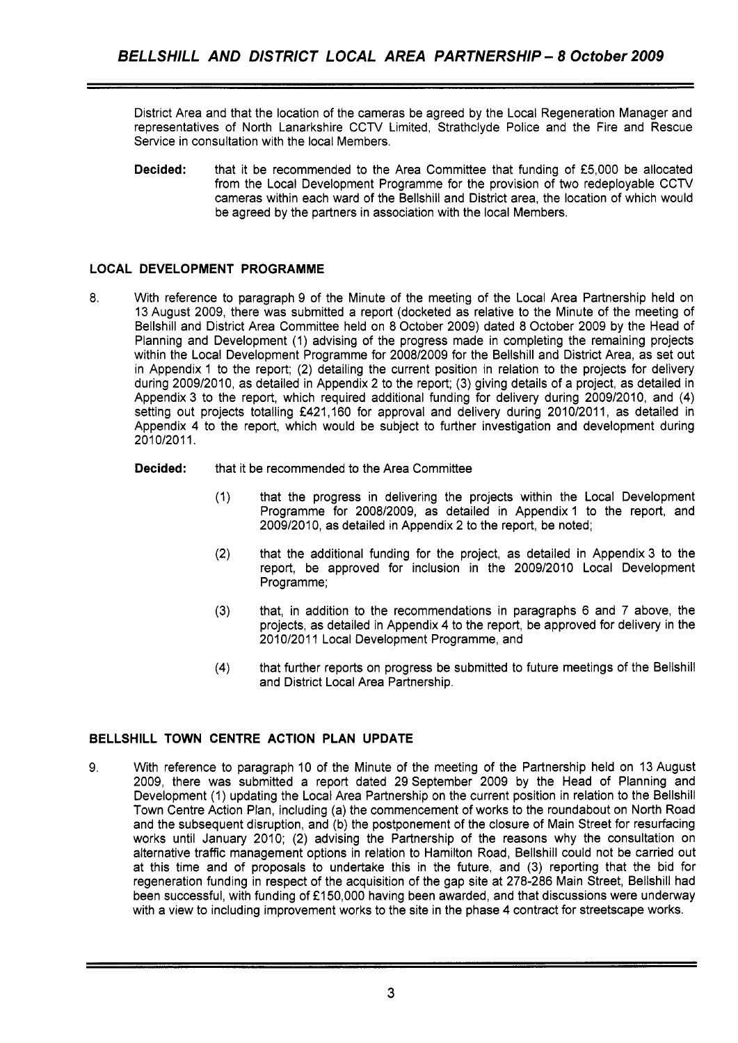District Area and that the location of the cameras be agreed by the Local Regeneration Manager and representatives of North Lanarkshire CCTV Limited, Strathclyde Police and the Fire and Rescue Service in consultation with the local Members.

**Decided:** that it be recommended to the Area Committee that funding of £5,000 be allocated from the Local Development Programme for the provision of two redeployable CCTV cameras within each ward of the Bellshill and District area, the location of which would be agreed by the partners in association with the local Members.

# **LOCAL DEVELOPMENT PROGRAMME**

8. With reference to paragraph 9 of the Minute of the meeting of the Local Area Partnership held on 13 August 2009, there was submitted a report (docketed as relative to the Minute of the meeting of Bellshill and District Area Committee held on 8 October 2009) dated 8 October 2009 by the Head of Planning and Development (1) advising of the progress made in completing the remaining projects within the Local Development Programme for 200812009 for the Bellshill and District Area, as set out in Appendix 1 to the report; (2) detailing the current position in relation to the projects for delivery during 2009/2010, as detailed in Appendix 2 to the report; (3) giving details of a project, as detailed in Appendix 3 to the report, which required additional funding for delivery during 2009/2010, and (4) setting out projects totalling £421,160 for approval and delivery during 2010/2011, as detailed in Appendix 4 to the report, which would be subject to further investigation and development during 2010/2011.

# **Decided:** that it be recommended to the Area Committee

- (1) that the progress in delivering the projects within the Local Development Programme for 2008/2009, as detailed in Appendix 1 to the report, and 2009/2010, as detailed in Appendix 2 to the report, be noted;
- (2) that the additional funding for the project, as detailed in Appendix 3 to the report, be approved for inclusion in the 2009/2010 Local Development Programme;
- **(3)** that, in addition to the recommendations in paragraphs 6 and 7 above, the projects, as detailed in Appendix **4** to the report, be approved for delivery in the 2010/2011 Local Development Programme, and
- (4) that further reports on progress be submitted to future meetings of the Bellshill and District Local Area Partnership.

# **BELLSHILL TOWN CENTRE ACTION PLAN UPDATE**

9. With reference to paragraph 10 of the Minute of the meeting of the Partnership held on 13 August 2009, there was submitted a report dated 29September 2009 by the Head of Planning and Development (1) updating the Local Area Partnership on the current position in relation to the Bellshill Town Centre Action Plan, including (a) the commencement of works to the roundabout on North Road and the subsequent disruption, and (b) the postponement of the closure of Main Street for resurfacing works until January 2010; (2) advising the Partnership of the reasons why the consultation on alternative traffic management options in relation to Hamilton Road, Bellshill could not be carried out at this time and of proposals to undertake this in the future, and (3) reporting that the bid for regeneration funding in respect of the acquisition of the gap site at 278-286 Main Street, Bellshill had been successful, with funding of £150,000 having been awarded, and that discussions were underway with a view to including improvement works to the site in the phase **4** contract for streetscape works.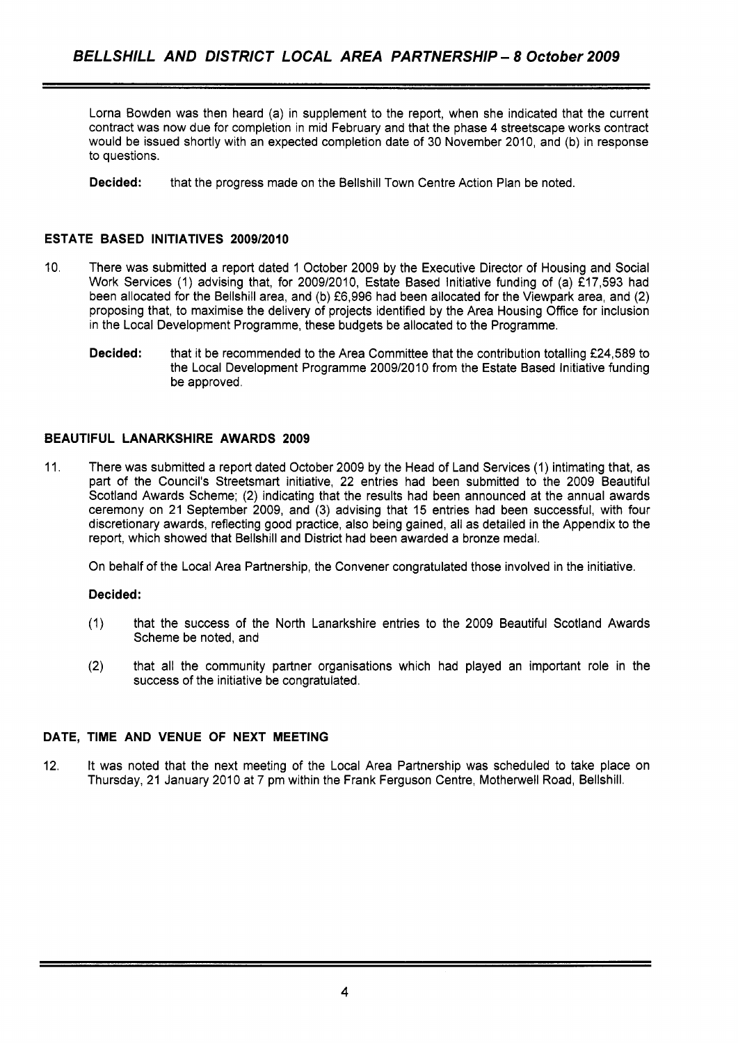Lorna Bowden was then heard (a) in supplement to the report, when she indicated that the current contract was now due for completion in mid February and that the phase **4** streetscape works contract would be issued shortly with an expected completion date of 30 November **2010,** and (b) in response to questions.

**Decided:** that the progress made on the Bellshill Town Centre Action Plan be noted

# **ESTATE BASED INITIATIVES 2009/2010**

- 10. There was submitted a report dated 1 October **2009** by the Executive Director of Housing and Social Work Services **(1)** advising that, for **2009/2010,** Estate Based Initiative funding of (a) **f17,593** had been allocated for the Bellshill area, and (b) **f6,996** had been allocated for the Viewpark area, and **(2)**  proposing that, to maximise the delivery of projects identified by the Area Housing Office for inclusion in the Local Development Programme, these budgets be allocated to the Programme.
	- **Decided:** that it be recommended to the Area Committee that the contribution totalling **f24,589** to the Local Development Programme **2009/2010** from the Estate Based Initiative funding be approved.

# **BEAUTIFUL LANARKSHIRE AWARDS 2009**

**11.** There was submitted a report dated October **2009** by the Head of Land Services **(1)** intimating that, as part of the Council's Streetsmart initiative, **22** entries had been submitted to the **2009** Beautiful Scotland Awards Scheme; **(2)** indicating that the results had been announced at the annual awards ceremony on **21** September **2009,** and (3) advising that 15 entries had been successful, with four discretionary awards, reflecting good practice, also being gained, all as detailed in the Appendix to the report, which showed that Bellshill and District had been awarded a bronze medal.

On behalf of the Local Area Partnership, the Convener congratulated those involved in the initiative.

# **Decided:**

- **(1)** that the success of the North Lanarkshire entries to the **2009** Beautiful Scotland Awards Scheme be noted, and
- **(2)** that all the community partner organisations which had played an important role in the success of the initiative be congratulated.

# **DATE, TIME AND VENUE OF NEXT MEETING**

**12.** It was noted that the next meeting of the Local Area Partnership was scheduled to take place on Thursday, **21** January **2010** at 7 pm within the Frank Ferguson Centre, Motherwell Road, Bellshill.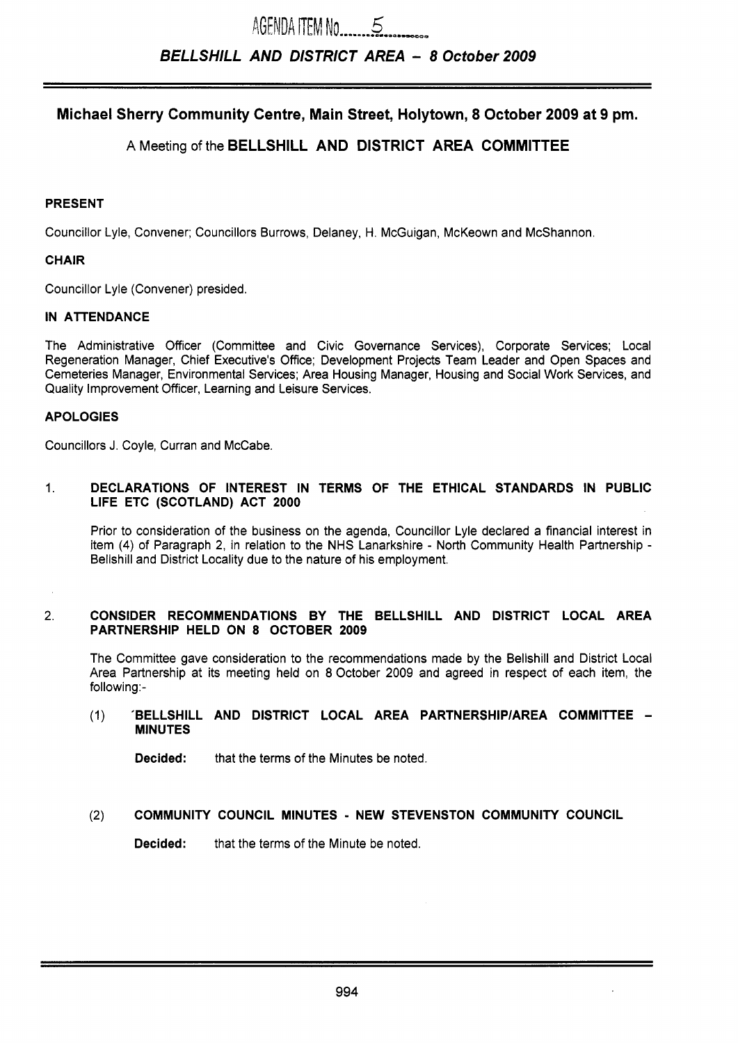# **Michael Sherry Community Centre, Main Street, Holytown, 8 October 2009 at 9 pm.**

# **A** Meeting of the **BELLSHILL AND DISTRICT AREA COMMITTEE**

### **PRESENT**

Councillor Lyle, Convener; Councillors Burrows, Delaney, H. McGuigan, McKeown and McShannon.

### **CHAIR**

Councillor Lyle (Convener) presided.

# **IN ATTENDANCE**

The Administrative Officer (Committee and Civic Governance Services), Corporate Services; Local Regeneration Manager, Chief Executive's Office; Development Projects Team Leader and Open Spaces and Cemeteries Manager, Environmental Services; Area Housing Manager, Housing and Social Work Services, and Quality Improvement Officer, Learning and Leisure Services.

# **APOLOGIES**

Councillors J. Coyle, Curran and McCabe.

### 1. **DECLARATIONS OF INTEREST IN TERMS OF THE ETHICAL STANDARDS IN PUBLIC LIFE ETC (SCOTLAND) ACT 2000**

Prior to consideration of the business on the agenda, Councillor Lyle declared a financial interest in item **(4)** of Paragraph 2, in relation to the NHS Lanarkshire - North Community Health Partnership - Bellshill and District Locality due to the nature of his employment.

#### 2. **CONSIDER RECOMMENDATIONS BY THE BELLSHILL AND DISTRICT LOCAL AREA PARTNERSHIP HELD ON 8 OCTOBER 2009**

The Committee gave consideration to the recommendations made by the Bellshill and District Local Area Partnership at its meeting held on 8 October 2009 and agreed in respect of each item, the following:-

### (1) **'BELLSHILL AND DISTRICT LOCAL AREA PARTNERSHlPlAREA COMMITTEE** - **MINUTES**

**Decided:** that the terms of the Minutes be noted.

### (2) **COMMUNITY COUNCIL MINUTES** - **NEW STEVENSTON COMMUNITY COUNCIL**

**Decided:** that the terms of the Minute be noted.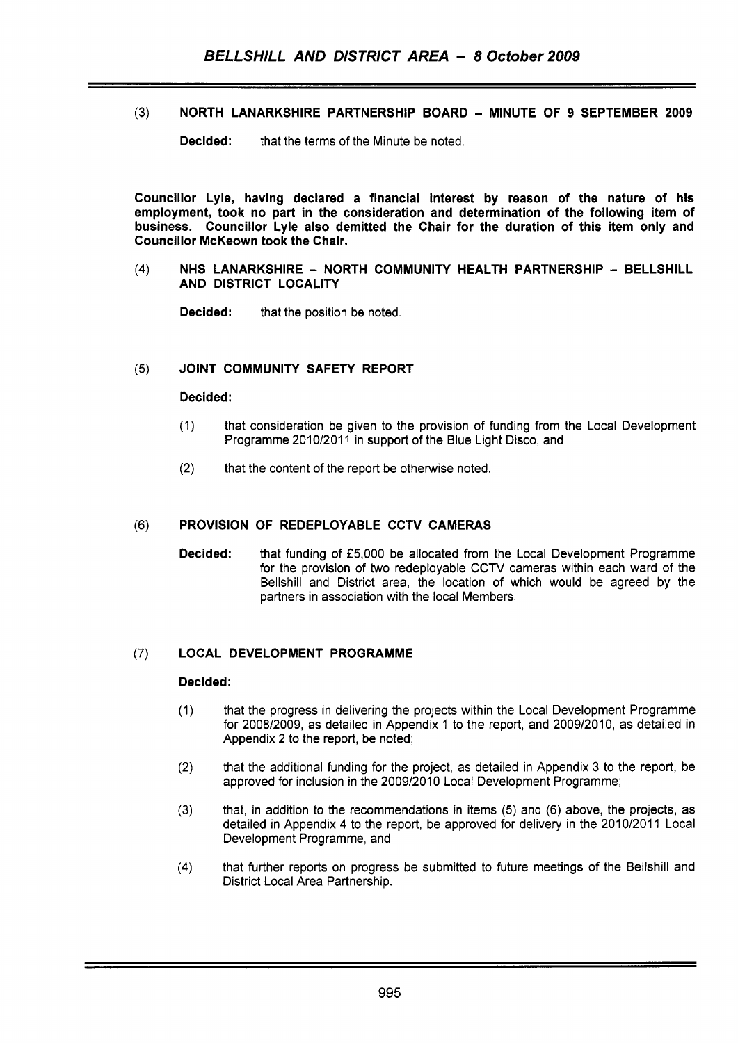**(3)** NORTH LANARKSHIRE PARTNERSHIP BOARD - MINUTE **OF** 9 SEPTEMBER 2009

**Decided:** that the terms of the Minute be noted.

Councillor Lyle, having declared a financial interest by reason of the nature of his employment, took no part in the consideration and determination of the following item of business. Councillor Lyle also demitted the Chair for the duration of this item only and Councillor McKeown took the Chair.

 $(4)$ NHS LANARKSHIRE - NORTH COMMUNITY HEALTH PARTNERSHIP - BELLSHILL AND DISTRICT LOCALITY

**Decided:** that the position be noted.

#### JOINT COMMUNITY SAFETY REPORT  $(5)$

### Decided:

- (1) that consideration be given to the provision of funding from the Local Development Programme 2010/2011 in support of the Blue Light Disco, and
- (2) that the content of the report be otherwise noted.

#### PROVISION OF REDEPLOYABLE CCTV CAMERAS  $(6)$

Decided: that funding of f5,000 be allocated from the Local Development Programme for the provision of two redeployable *CCW* cameras within each ward of the Bellshill and District area, the location of which would be agreed by the partners in association with the local Members.

### (7) LOCAL DEVELOPMENT PROGRAMME

### Decided:

- (1) that the progress in delivering the projects within the Local Development Programme for 2008/2009, as detailed in Appendix 1 to the report, and 2009/2010, as detailed in Appendix **2** to the report, be noted;
- (2) that the additional funding for the project, as detailed in Appendix 3 to the report, be approved for inclusion in the 2009/2010 Local Development Programme;
- **(3)** that, in addition to the recommendations in items (5) and (6) above, the projects, as detailed in Appendix **4** to the report, be approved for delivery in the 2010/2011 Local Development Programme, and
- **(4)** that further reports on progress be submitted to future meetings of the Bellshill and District Local Area Partnership.